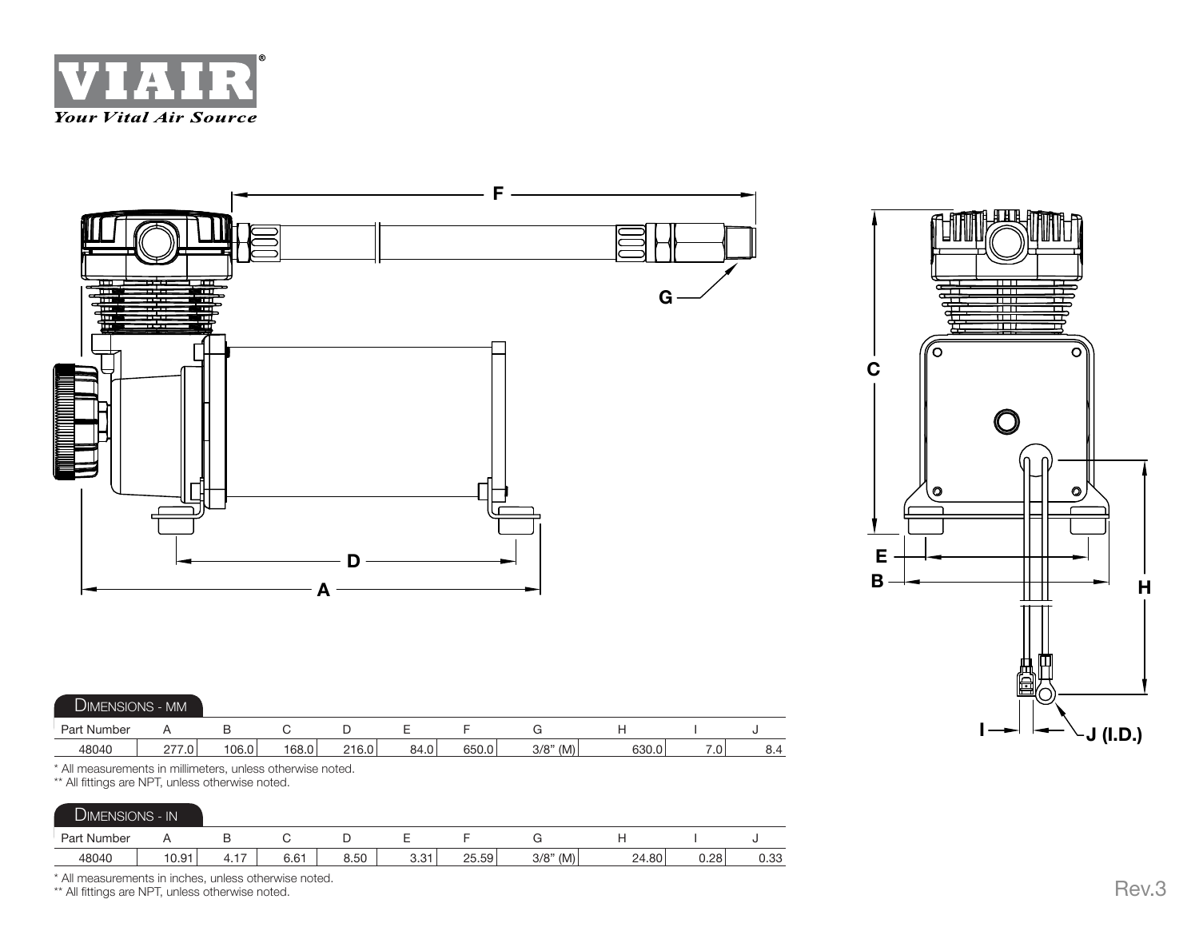



| <b>DIMENSIONS - MM</b> |             |       |       |       |      |       |             |       |    |     |  |
|------------------------|-------------|-------|-------|-------|------|-------|-------------|-------|----|-----|--|
| Part Number            |             |       |       |       |      |       |             |       |    |     |  |
| 48040                  | $.0\degree$ | 106.0 | 168.0 | 216.0 | 84.0 | 650.0 | $3/8$ " (M) | 630.0 | .v | 8.4 |  |

\* All measurements in millimeters, unless otherwise noted.

\*\* All fittings are NPT, unless otherwise noted.

| DIMENSIONS - IN |       |                        |      |      |                      |       |             |       |      |      |  |
|-----------------|-------|------------------------|------|------|----------------------|-------|-------------|-------|------|------|--|
| Part Number     |       | ີ                      |      | ◡    | -                    |       |             |       |      |      |  |
| 48040           | 10.91 | $\rightarrow$<br>4. I. | 6.61 | 8.50 | <b>Q</b> 21<br>ا ت.ب | 25.59 | $3/8$ " (M) | 24.80 | 0.28 | 0.33 |  |

\* All measurements in inches, unless otherwise noted.

\*\* All fittings are NPT, unless otherwise noted.